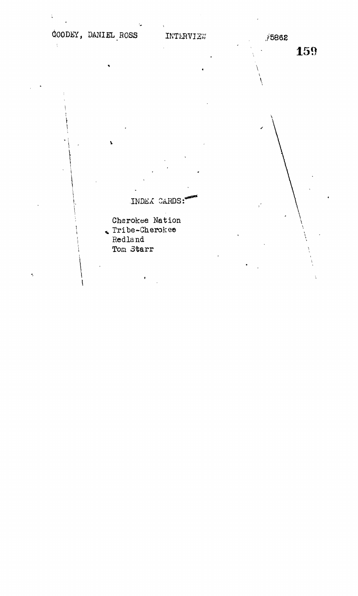# $\texttt{OODEY, DANIEL}$ , ROSS INTERVIEW ,  $\hat{z}$ 5862

 $\mathbf{\hat{z}}$ 

INDEX CARDS:

Cherokee Nation Tribe-Cherokee Redland Ton Starr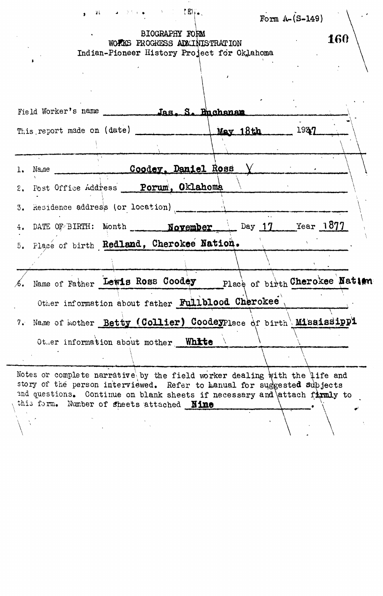| $\bullet$ and $\bullet$ and $\bullet$ and $\bullet$ and $\bullet$ . The $\bullet$                                                                                                                                                                                              | Form $A - (S - 149)$ |
|--------------------------------------------------------------------------------------------------------------------------------------------------------------------------------------------------------------------------------------------------------------------------------|----------------------|
| <b>BIOGRAPHY FORM</b><br>WOFINS PROGRESS ADMINISTRATION<br>Indian-Pioneer History Project for Oklahoma                                                                                                                                                                         | 160                  |
|                                                                                                                                                                                                                                                                                |                      |
| Field Worker's name Jas. S. Buchanan                                                                                                                                                                                                                                           |                      |
| This report made on (date) _____________                                                                                                                                                                                                                                       | $M$ av 18th $^{193}$ |
| 1. Name Coodey, Daniel Ross Y                                                                                                                                                                                                                                                  |                      |
| 2. Post Office Address Porum, Oklahoma                                                                                                                                                                                                                                         |                      |
| 3. Residence address (or location) [100]                                                                                                                                                                                                                                       |                      |
| 4. DATE OF BIRTH: Month <b>November</b> Day 17 Year 1877                                                                                                                                                                                                                       |                      |
| 5. Place of birth Redland, Cherokee Nation.                                                                                                                                                                                                                                    |                      |
| 6. Name of Father Lewis Ross Coodey Place of birth Cherokee Nation                                                                                                                                                                                                             |                      |
| Other information about father Fullblood Cherokee                                                                                                                                                                                                                              |                      |
| 7. Name of mother Betty (Collier) CoodeyPlace of birth Mississippl                                                                                                                                                                                                             |                      |
| Other information about mother White                                                                                                                                                                                                                                           |                      |
| Notes or complete narrative by the field worker dealing with the life and<br>story of the person interviewed. Refer to hanual for suggested subjects<br>and questions. Continue on blank sheets if necessary and attach firmly to<br>this form. Number of sheets attached Nine |                      |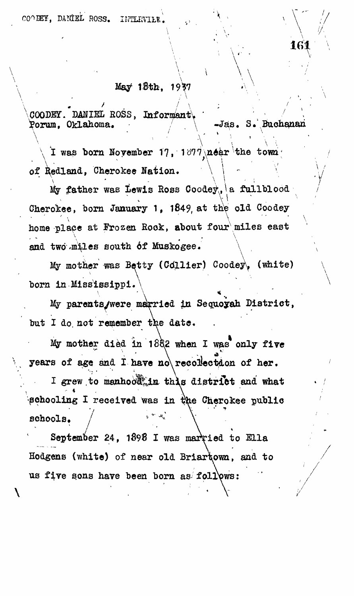# $May$  18th, 1937

**\COODES"/])MIEL ROSS, Inforn^antV ' \*** *\ \ ' \* Porum. Oklahoma.

**\**

 $\sqrt{\frac{1}{\pi}}$   $\frac{1}{\pi}$   $\frac{1}{\pi}$   $\frac{1}{\pi}$   $\frac{1}{\pi}$   $\frac{1}{\pi}$   $\frac{1}{\pi}$   $\frac{1}{\pi}$   $\frac{1}{\pi}$   $\frac{1}{\pi}$   $\frac{1}{\pi}$   $\frac{1}{\pi}$   $\frac{1}{\pi}$   $\frac{1}{\pi}$   $\frac{1}{\pi}$   $\frac{1}{\pi}$   $\frac{1}{\pi}$   $\frac{1}{\pi}$   $\frac{1}{\pi}$   $\frac{1}{\pi}$ **I was born Hoyember 17, 1017\near the of ^edland, Cherokee Nation. ' \** *\ - \* **/**

 $\mathbf{v} = \begin{pmatrix} \mathbf{v} & \mathbf{v} & \mathbf{v} & \mathbf{v} & \mathbf{v} & \mathbf{v} & \mathbf{v} & \mathbf{v} & \mathbf{v} & \mathbf{v} & \mathbf{v} & \mathbf{v} & \mathbf{v} & \mathbf{v} & \mathbf{v} & \mathbf{v} & \mathbf{v} & \mathbf{v} & \mathbf{v} & \mathbf{v} & \mathbf{v} & \mathbf{v} & \mathbf{v} & \mathbf{v} & \mathbf{v} & \mathbf{v} & \mathbf{v} & \mathbf{v} & \mathbf{v} & \mathbf{$  ${\tt father}$  was Lewis Ross Coodey<sub>('|</sub>a fullblood | | | | **Cherokee, born January 1, 1849, at the old Goodey** home place at Frozen Rook, about four miles east **.**   $x^2$   $\frac{1}{x^2}$   $\frac{1}{x^2}$   $\frac{1}{x^2}$   $\frac{1}{x^2}$   $\frac{1}{x^2}$   $\frac{1}{x^2}$   $\frac{1}{x^2}$ **and two .miles south 6f Muskogee. \**

**My mother isas Betty (Cdllier) Coodeyf (white) born in Mississippi.**

 $\ddot{\phantom{0}}$  . **My parents/were magried in Sequoyah District, but I do, not remember the date.**

**My mother died in 1882 when I was only five** years of age and I have no recollection of her. I grew to manhood, in this district and what  $\mathbf{r}$  . The set of  $\mathbf{r}$  is the set of  $\mathbf{r}$ **schooling I received was in the Cherokee public** schools.<br>September 24. 1898 I was married to Ella

Hodgens (white) of near old Briartown, and to us five sons have been born as follows: **us five s.ons have been born as follows:**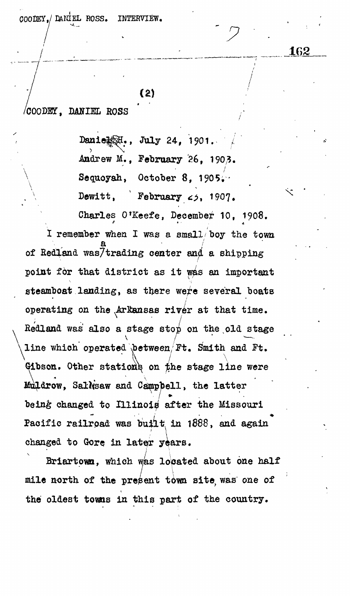*QOOtJSlJ* DANIEL ROSS. INTERVIEW,

 $(2)$ 

162

**/COODE3T, DAfflEL ROSS**

**Danie^[; , July 24, 1?01. /** Andrew M., February 26, 1903. **Sequoyah, October 8,** Dewitt, February  $\epsilon$  *5*, 1907.

**Charles O'Keefe, December 10, 1908. X remember when I was a small'boy the town a • / of Redland was7trading center and a shipping** point for that district as it was an important steamboat landing, as there were several boats **operating on the .Arkansas river at that time. v Redland was also a stage stop on the old stage**  $\sqrt{\frac{1 \text{ mod } \ln(1 - \text{ mod } \cdot \text{ mod } \cdot \text{ mod } \cdot \text{ mod } \cdot \text{ mod } \cdot \text{ mod } \cdot \text{ mod } \cdot \text{ mod } \cdot \text{ mod } \cdot \text{ mod } \cdot \text{ mod } \cdot \text{ mod } \cdot \text{ mod } \cdot \text{ mod } \cdot \text{ mod } \cdot \text{ mod } \cdot \text{ mod } \cdot \text{ mod } \cdot \text{ mod } \cdot \text{ mod } \cdot \text{ mod } \cdot \text{ mod } \cdot \text{ mod } \cdot \text{ mod } \cdot \text{ mod } \cdot \text{ mod } \cdot \text{ mod } \cdot \text{ mod } \cdot \text{ mod } \cdot \$ **\line which operated Xbetween/Ft. Smith and Ft.** Gibson. Other stations on the stage line were **Muldrow**, Sallksaw and Campbell, the latter being changed to Illinois after the Missouri Pacific railroad was built in 1888, and again changed to Gore in later years.

 $\left| \begin{array}{c} \hline \hline \hline \hline \hline \end{array} \right|$ **changed to Gore in Latin Street in Long-Angle in Long and Long angle in Long and Long angle in Long and Long and Long and Long and Long and Long and Long and Long and Long and Long and Long and Long and Long and Long and** mile north of the present town site was one of the oldest towns in this part of the country.

**the oldest towns in this part of the country.**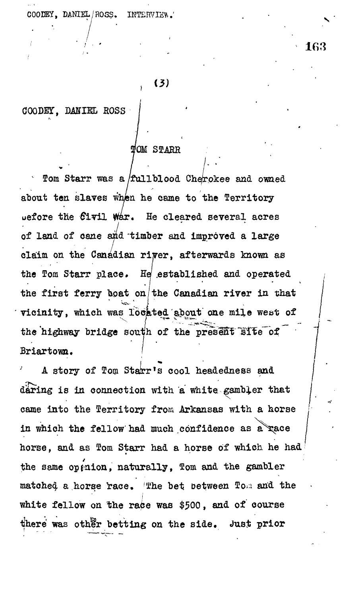COODEY, DANIEL ROSS. INTERVIEW.

# 163

## $(3)$

**COODET, BAKriEL EOSS**

## $\texttt{IOM}$  STARR

**/ lom Starr was a /fullblood Cherokee and owned about ten slaves when he came to the Territory oefore the Givil War\* He cleared several acres of land of cane and "timber and improved a large claim on the Canadian river, afterwards known as** the Tom Starr place. He established and operated the first ferry boat on/the Canadian river in that **vicinity, which was located about one mile west of** the highway bridge south of the present sife of **Briartown.**

A story of Tom Starr's cool headedness and **daring is in connection with a white, gambler that** came into the Territory from Arkansas with a horse in which the fellow had much confidence as a race horse, and as Tom Starr had a horse of which he had the same op<sub>i</sub>nion, naturally, Tom and the gambler matched a horse race. The bet between Tom and the **white fellow on the rape was \$500, and of course** there was other betting on the side. Just prior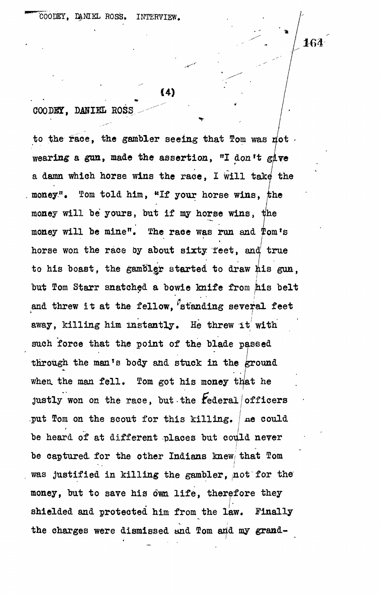164

**C4)**

 $COODEY$ , DANIEL ROSS

to the race, the gambler seeing that Tom was not **wearing a gun, made the assertion, "I don't give a damn which horse, wins the race, I Will take the** money.<sup>n</sup>. Tom told him, "If your horse wins, the money will be yours, but if my horse wins, the money will be mine". The race was run and Tom's horse won the race by about sixty feet, and true to his boast, the gambler started to draw his gun, but Tom Starr snatched a bowie knife from his belt and threw it at the fellow, <sup>f</sup>standing several feet **away, killing him instantly. He threw it' with such force that the point of the blade passed through the man<sup>T</sup>s body and stuck in the ground** when the man fell. Tom got his money that he **justly won on the race, but-the federal/officers** put Tom on the scout for this killing. | ne could be heard of at different places but could never be captured for the other Indians knew that Tom was justified in killing the gambler, not for the **money, but to save his own life, therefore they shielded and protected him from the law. Finally** the charges were dismissed and Tom and my grand-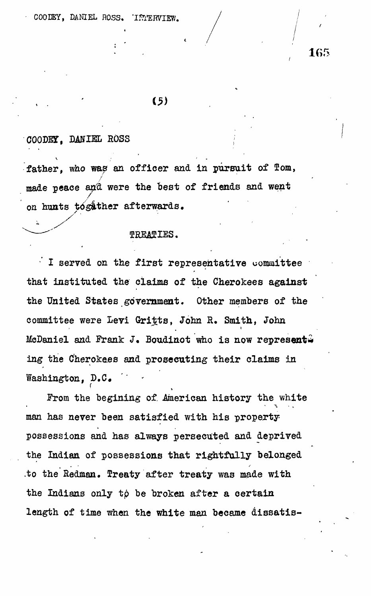# $(5)$

**/**

#### **COODET, DANIEL ROSS**

**f**

father, who was an officer and in pursuit of Tom, **made peace antt were the best of friends and went on hunts together afterwards.**

#### **TREATIES.**

**• I served on the first representative uommittee that instituted the claims of the Cherokees against the United States government. Other members of the committee were Levi Gritts, John R. Smith, John McDaniel and Frank** *J.* **Boudinot who is now represents ing the Cherokees and prosecuting their claims in Washington, D.C«**

**From the begining of. -American history the white man has never been satisfied with his propertypossessions and has always persecuted and deprived the Indian of possessions that rightfully belonged .to the Redman. Treaty after treaty was made with** the Indians only to be broken after a certain **length of time when the white man became dissatis-**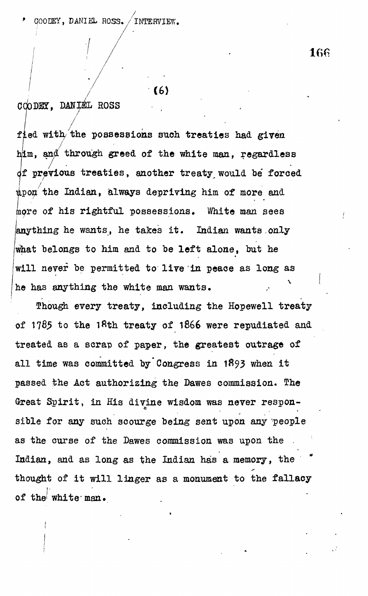*p* QOOEEY, DANIEL ROSS. / INTERVIEW.

166

## $(6)$

### , DANIEL ROSS

/

**fled with/ the possessions such treaties had given** him, and through greed of the white man, regardless **it previous treaties, another treaty would be' forced i the Indian, always depriving him of more and more of his rightful possessions. White man sees anything he wants, he takes it. Indian wants only what belongs to him and to be left alone, but he will never be permitted to live in peace as long as he has anything the white man wants,**

**Enough every treaty, including the Hopewell treaty** of 1785 to the 18th treaty of 1866 were repudiated and **treated as a scrap of paper, the greatest outrage of all time was committed by Congress in 1893 when it** passed the Act authorizing the Dawes commission. The **Great Spirit, in His divine wisdom was never responsible for any such scourge being sent upon any people** as the curse of the Dawes commission was upon the **Indian, and as long as the Indian has a memory, the thought of it will linger as a monument to the fallacy of the' white'**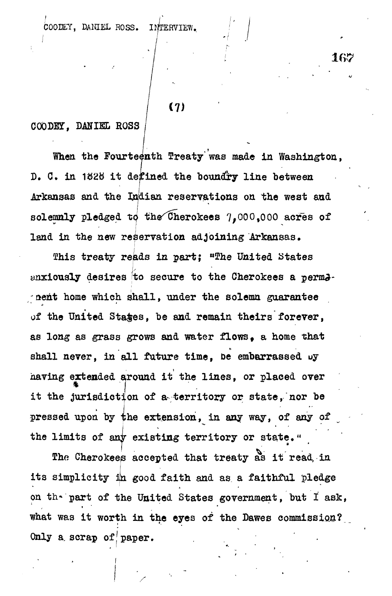COOEEY, DANIEL ROSS. INTERVIEW,.

#### **COODET, DANIEL ROSS**

When the Fourteenth Treaty was made in Washington, **D. C. in 1828 it defined the boundry line between Arkansas and the Indian reservations on the west and** solemnly pledged to the Cherokees 7,000,000 acres of **land in the new reservation adjoining Arkansas,**

**(7)**

167

**Shis treaty reads in part; "The United States** anxiously desires to secure to the Cherokees a perma**nent home which shall, under the solemn guarantee of the United States, be and remain theirs forever, as long as grass grows and water flows, a home that** shall never, in all future time, be embarrassed oy **having extended around it the lines, or placed over \* j it the jurisdiction of a-territory or state, nor be** pressed upon by the extension, in any way, of any of **the limits of any existing territory or state."**

The Cherokees accepted that treaty as it read, in its simplicity in good faith and as a faithful pledge on the part of the United States government, but I ask, what was it worth in the eyes of the Dawes commission? Only a scrap of paper.

**Only a, scrap off paper. , '**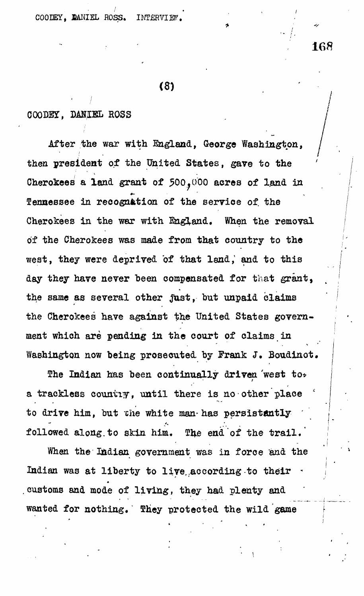COODEY. DANIEL ROSS. INTERVIEW

**(8) . ' • .**

 $\cdot$  /,  $\cdot$  "  $\cdot$  "

**168**

#### **COODBT, DM/EEL ROSS**

**After the war with England, George Washington, then president of the United States, gave to the ' Cherokees a land grant of 500,000 acres of land in Tennessee in recognition of the service of. the Cherokees in the war with England. When the removal of the Cherokees was made from that country to the west, they were deprived of that land,<sup>1</sup> and to this day they have never been compensated for that grant, the same as several other Just, but unpaid claims the Cherokees have against the United States government which are pending in the court of claims in Washington now being prosecuted by Frank J. Boudinot.**

**The Indian has been continually driven 'west to\*** a trackless countiy, until there is no other place  **c to drive him, but che white man-has persistently '** followed along to skin him. The end of the trail.

**When the Indian government was in force and the** Indian was at liberty to live according to their customs and mode of living, they had plenty and wanted for nothing. They protected the wild game

**wanted for nothing, They protected the wild game**

**• \**